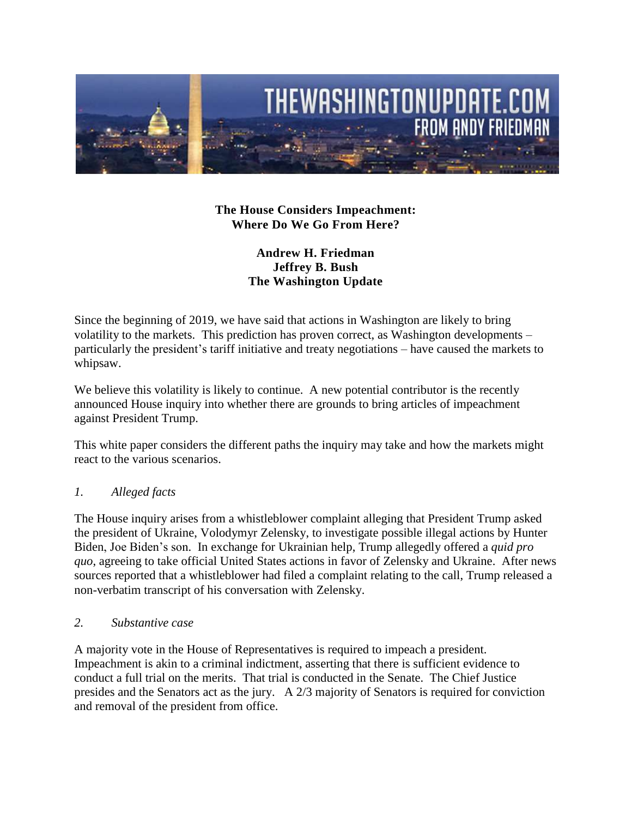

**The House Considers Impeachment: Where Do We Go From Here?**

## **Andrew H. Friedman Jeffrey B. Bush The Washington Update**

Since the beginning of 2019, we have said that actions in Washington are likely to bring volatility to the markets. This prediction has proven correct, as Washington developments – particularly the president's tariff initiative and treaty negotiations – have caused the markets to whipsaw.

We believe this volatility is likely to continue. A new potential contributor is the recently announced House inquiry into whether there are grounds to bring articles of impeachment against President Trump.

This white paper considers the different paths the inquiry may take and how the markets might react to the various scenarios.

## *1. Alleged facts*

The House inquiry arises from a whistleblower complaint alleging that President Trump asked the president of Ukraine, Volodymyr Zelensky, to investigate possible illegal actions by Hunter Biden, Joe Biden's son. In exchange for Ukrainian help, Trump allegedly offered a *quid pro quo*, agreeing to take official United States actions in favor of Zelensky and Ukraine. After news sources reported that a whistleblower had filed a complaint relating to the call, Trump released a non-verbatim transcript of his conversation with Zelensky.

*2. Substantive case* 

A majority vote in the House of Representatives is required to impeach a president. Impeachment is akin to a criminal indictment, asserting that there is sufficient evidence to conduct a full trial on the merits. That trial is conducted in the Senate. The Chief Justice presides and the Senators act as the jury. A 2/3 majority of Senators is required for conviction and removal of the president from office.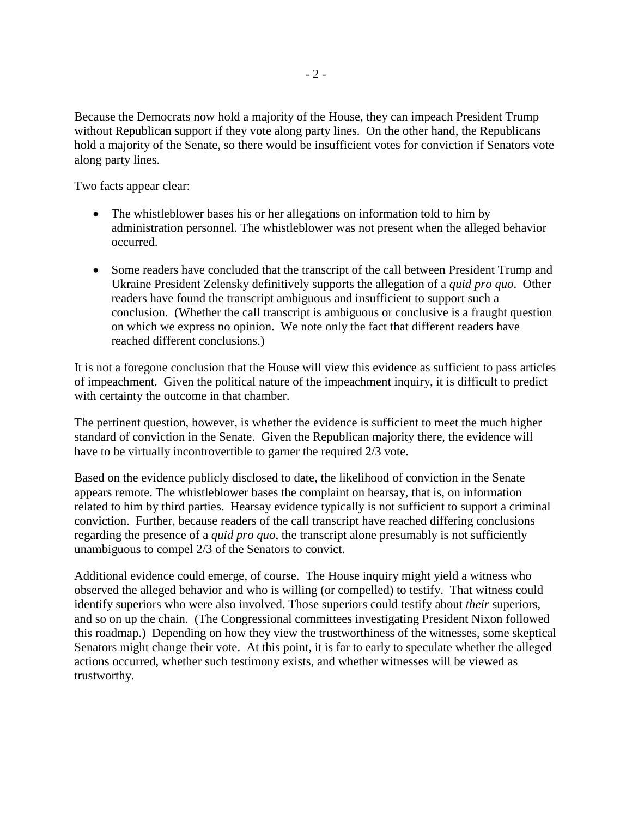Because the Democrats now hold a majority of the House, they can impeach President Trump without Republican support if they vote along party lines. On the other hand, the Republicans hold a majority of the Senate, so there would be insufficient votes for conviction if Senators vote along party lines.

Two facts appear clear:

- The whistleblower bases his or her allegations on information told to him by administration personnel. The whistleblower was not present when the alleged behavior occurred.
- Some readers have concluded that the transcript of the call between President Trump and Ukraine President Zelensky definitively supports the allegation of a *quid pro quo*. Other readers have found the transcript ambiguous and insufficient to support such a conclusion. (Whether the call transcript is ambiguous or conclusive is a fraught question on which we express no opinion. We note only the fact that different readers have reached different conclusions.)

It is not a foregone conclusion that the House will view this evidence as sufficient to pass articles of impeachment. Given the political nature of the impeachment inquiry, it is difficult to predict with certainty the outcome in that chamber.

The pertinent question, however, is whether the evidence is sufficient to meet the much higher standard of conviction in the Senate. Given the Republican majority there, the evidence will have to be virtually incontrovertible to garner the required 2/3 vote.

Based on the evidence publicly disclosed to date, the likelihood of conviction in the Senate appears remote. The whistleblower bases the complaint on hearsay, that is, on information related to him by third parties. Hearsay evidence typically is not sufficient to support a criminal conviction. Further, because readers of the call transcript have reached differing conclusions regarding the presence of a *quid pro quo*, the transcript alone presumably is not sufficiently unambiguous to compel 2/3 of the Senators to convict.

Additional evidence could emerge, of course. The House inquiry might yield a witness who observed the alleged behavior and who is willing (or compelled) to testify. That witness could identify superiors who were also involved. Those superiors could testify about *their* superiors, and so on up the chain. (The Congressional committees investigating President Nixon followed this roadmap.) Depending on how they view the trustworthiness of the witnesses, some skeptical Senators might change their vote. At this point, it is far to early to speculate whether the alleged actions occurred, whether such testimony exists, and whether witnesses will be viewed as trustworthy.